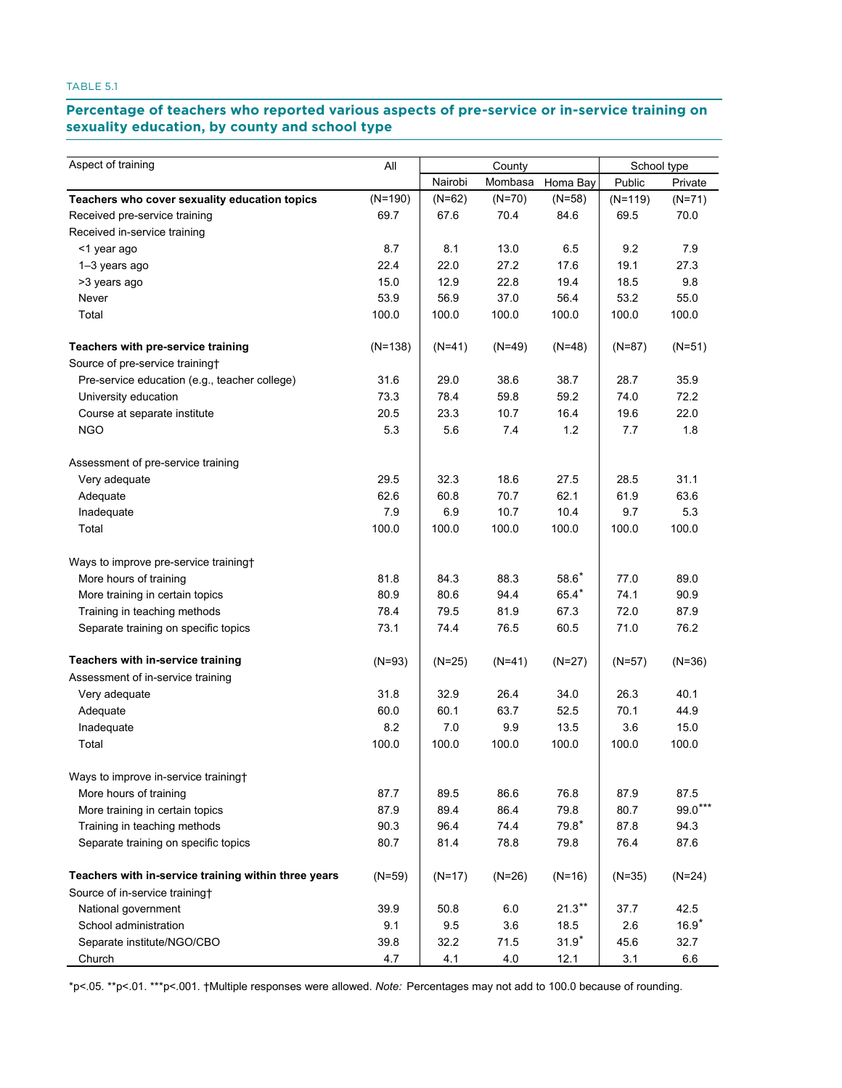### Percentage of teachers who reported various aspects of pre-service or in-service training on **sexuality education, by county and school type education, by county and school type**

| Aspect of training                                   | All<br>County |          |          | School type |           |           |
|------------------------------------------------------|---------------|----------|----------|-------------|-----------|-----------|
|                                                      |               | Nairobi  | Mombasa  | Homa Bay    | Public    | Private   |
| Teachers who cover sexuality education topics        | $(N=190)$     | $(N=62)$ | $(N=70)$ | $(N=58)$    | $(N=119)$ | $(N=71)$  |
| Received pre-service training                        | 69.7          | 67.6     | 70.4     | 84.6        | 69.5      | 70.0      |
| Received in-service training                         |               |          |          |             |           |           |
| <1 year ago                                          | 8.7           | 8.1      | 13.0     | 6.5         | 9.2       | 7.9       |
| 1-3 years ago                                        | 22.4          | 22.0     | 27.2     | 17.6        | 19.1      | 27.3      |
| >3 years ago                                         | 15.0          | 12.9     | 22.8     | 19.4        | 18.5      | 9.8       |
| Never                                                | 53.9          | 56.9     | 37.0     | 56.4        | 53.2      | 55.0      |
| Total                                                | 100.0         | 100.0    | 100.0    | 100.0       | 100.0     | 100.0     |
| Teachers with pre-service training                   | $(N=138)$     | $(N=41)$ | $(N=49)$ | $(N=48)$    | $(N=87)$  | $(N=51)$  |
| Source of pre-service training+                      |               |          |          |             |           |           |
| Pre-service education (e.g., teacher college)        | 31.6          | 29.0     | 38.6     | 38.7        | 28.7      | 35.9      |
| University education                                 | 73.3          | 78.4     | 59.8     | 59.2        | 74.0      | 72.2      |
| Course at separate institute                         | 20.5          | 23.3     | 10.7     | 16.4        | 19.6      | 22.0      |
| <b>NGO</b>                                           | 5.3           | 5.6      | 7.4      | 1.2         | 7.7       | 1.8       |
| Assessment of pre-service training                   |               |          |          |             |           |           |
| Very adequate                                        | 29.5          | 32.3     | 18.6     | 27.5        | 28.5      | 31.1      |
| Adequate                                             | 62.6          | 60.8     | 70.7     | 62.1        | 61.9      | 63.6      |
| Inadequate                                           | 7.9           | 6.9      | 10.7     | 10.4        | 9.7       | 5.3       |
| Total                                                | 100.0         | 100.0    | 100.0    | 100.0       | 100.0     | 100.0     |
| Ways to improve pre-service training+                |               |          |          |             |           |           |
| More hours of training                               | 81.8          | 84.3     | 88.3     | $58.6*$     | 77.0      | 89.0      |
| More training in certain topics                      | 80.9          | 80.6     | 94.4     | $65.4*$     | 74.1      | 90.9      |
| Training in teaching methods                         | 78.4          | 79.5     | 81.9     | 67.3        | 72.0      | 87.9      |
| Separate training on specific topics                 | 73.1          | 74.4     | 76.5     | 60.5        | 71.0      | 76.2      |
| Teachers with in-service training                    | $(N=93)$      | $(N=25)$ | $(N=41)$ | $(N=27)$    | $(N=57)$  | $(N=36)$  |
| Assessment of in-service training                    |               |          |          |             |           |           |
| Very adequate                                        | 31.8          | 32.9     | 26.4     | 34.0        | 26.3      | 40.1      |
| Adequate                                             | 60.0          | 60.1     | 63.7     | 52.5        | 70.1      | 44.9      |
| Inadequate                                           | 8.2           | 7.0      | 9.9      | 13.5        | 3.6       | 15.0      |
| Total                                                | 100.0         | 100.0    | 100.0    | 100.0       | 100.0     | 100.0     |
| Ways to improve in-service training+                 |               |          |          |             |           |           |
| More hours of training                               | 87.7          | 89.5     | 86.6     | 76.8        | 87.9      | 87.5      |
| More training in certain topics                      | 87.9          | 89.4     | 86.4     | 79.8        | 80.7      | $99.0***$ |
| Training in teaching methods                         | 90.3          | 96.4     | 74.4     | $79.8*$     | 87.8      | 94.3      |
| Separate training on specific topics                 | 80.7          | 81.4     | 78.8     | 79.8        | 76.4      | 87.6      |
| Teachers with in-service training within three years | $(N=59)$      | $(N=17)$ | $(N=26)$ | $(N=16)$    | $(N=35)$  | $(N=24)$  |
| Source of in-service training†                       |               |          |          |             |           |           |
| National government                                  | 39.9          | 50.8     | 6.0      | $21.3***$   | 37.7      | 42.5      |
| School administration                                | 9.1           | 9.5      | 3.6      | 18.5        | 2.6       | $16.9*$   |
| Separate institute/NGO/CBO                           | 39.8          | 32.2     | 71.5     | $31.9*$     | 45.6      | 32.7      |
| Church                                               | 4.7           | 4.1      | 4.0      | 12.1        | 3.1       | $6.6\,$   |

\*p<.05. \*\*p<.01. \*\*\*p<.001. †Multiple responses were allowed. *Note:* Percentages may not add to 100.0 because of rounding.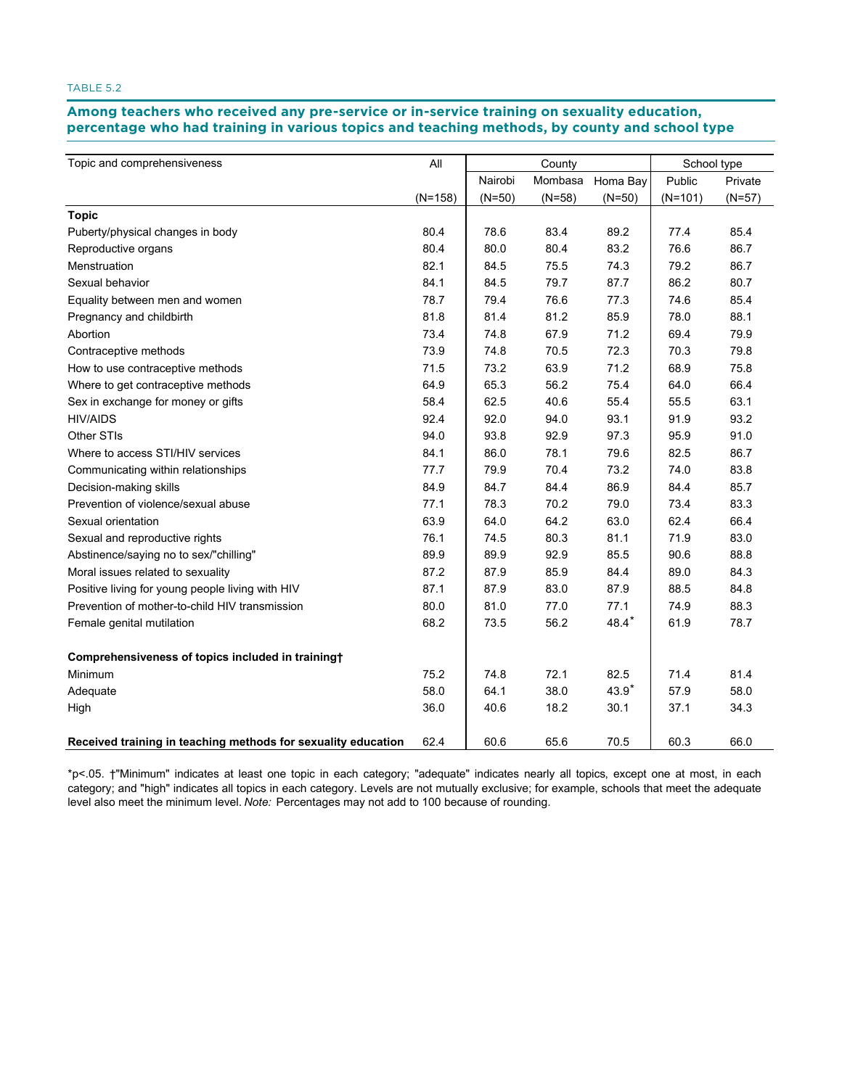Among teachers who received any pre-service or in-service training on sexuality education, **percentage who had training in various topics and teaching methods, by county and school type training in various topics and teaching methods, by county and school type**

| Topic and comprehensiveness                                   | All       | County   |          |          | School type |          |
|---------------------------------------------------------------|-----------|----------|----------|----------|-------------|----------|
|                                                               |           | Nairobi  | Mombasa  | Homa Bay | Public      | Private  |
|                                                               | $(N=158)$ | $(N=50)$ | $(N=58)$ | $(N=50)$ | $(N=101)$   | $(N=57)$ |
| <b>Topic</b>                                                  |           |          |          |          |             |          |
| Puberty/physical changes in body                              | 80.4      | 78.6     | 83.4     | 89.2     | 77.4        | 85.4     |
| Reproductive organs                                           | 80.4      | 80.0     | 80.4     | 83.2     | 76.6        | 86.7     |
| Menstruation                                                  | 82.1      | 84.5     | 75.5     | 74.3     | 79.2        | 86.7     |
| Sexual behavior                                               | 84.1      | 84.5     | 79.7     | 87.7     | 86.2        | 80.7     |
| Equality between men and women                                | 78.7      | 79.4     | 76.6     | 77.3     | 74.6        | 85.4     |
| Pregnancy and childbirth                                      | 81.8      | 81.4     | 81.2     | 85.9     | 78.0        | 88.1     |
| Abortion                                                      | 73.4      | 74.8     | 67.9     | 71.2     | 69.4        | 79.9     |
| Contraceptive methods                                         | 73.9      | 74.8     | 70.5     | 72.3     | 70.3        | 79.8     |
| How to use contraceptive methods                              | 71.5      | 73.2     | 63.9     | 71.2     | 68.9        | 75.8     |
| Where to get contraceptive methods                            | 64.9      | 65.3     | 56.2     | 75.4     | 64.0        | 66.4     |
| Sex in exchange for money or gifts                            | 58.4      | 62.5     | 40.6     | 55.4     | 55.5        | 63.1     |
| <b>HIV/AIDS</b>                                               | 92.4      | 92.0     | 94.0     | 93.1     | 91.9        | 93.2     |
| Other STIs                                                    | 94.0      | 93.8     | 92.9     | 97.3     | 95.9        | 91.0     |
| Where to access STI/HIV services                              | 84.1      | 86.0     | 78.1     | 79.6     | 82.5        | 86.7     |
| Communicating within relationships                            | 77.7      | 79.9     | 70.4     | 73.2     | 74.0        | 83.8     |
| Decision-making skills                                        | 84.9      | 84.7     | 84.4     | 86.9     | 84.4        | 85.7     |
| Prevention of violence/sexual abuse                           | 77.1      | 78.3     | 70.2     | 79.0     | 73.4        | 83.3     |
| Sexual orientation                                            | 63.9      | 64.0     | 64.2     | 63.0     | 62.4        | 66.4     |
| Sexual and reproductive rights                                | 76.1      | 74.5     | 80.3     | 81.1     | 71.9        | 83.0     |
| Abstinence/saying no to sex/"chilling"                        | 89.9      | 89.9     | 92.9     | 85.5     | 90.6        | 88.8     |
| Moral issues related to sexuality                             | 87.2      | 87.9     | 85.9     | 84.4     | 89.0        | 84.3     |
| Positive living for young people living with HIV              | 87.1      | 87.9     | 83.0     | 87.9     | 88.5        | 84.8     |
| Prevention of mother-to-child HIV transmission                | 80.0      | 81.0     | 77.0     | 77.1     | 74.9        | 88.3     |
| Female genital mutilation                                     | 68.2      | 73.5     | 56.2     | $48.4*$  | 61.9        | 78.7     |
| Comprehensiveness of topics included in training+             |           |          |          |          |             |          |
| Minimum                                                       | 75.2      | 74.8     | 72.1     | 82.5     | 71.4        | 81.4     |
| Adequate                                                      | 58.0      | 64.1     | 38.0     | 43.9*    | 57.9        | 58.0     |
| High                                                          | 36.0      | 40.6     | 18.2     | 30.1     | 37.1        | 34.3     |
| Received training in teaching methods for sexuality education | 62.4      | 60.6     | 65.6     | 70.5     | 60.3        | 66.0     |

\*p<.05. †"Minimum" indicates at least one topic in each category; "adequate" indicates nearly all topics, except one at most, in each category; and "high" indicates all topics in each category. Levels are not mutually exclusive; for example, schools that meet the adequate level also meet the minimum level. *Note:* Percentages may not add to 100 because of rounding.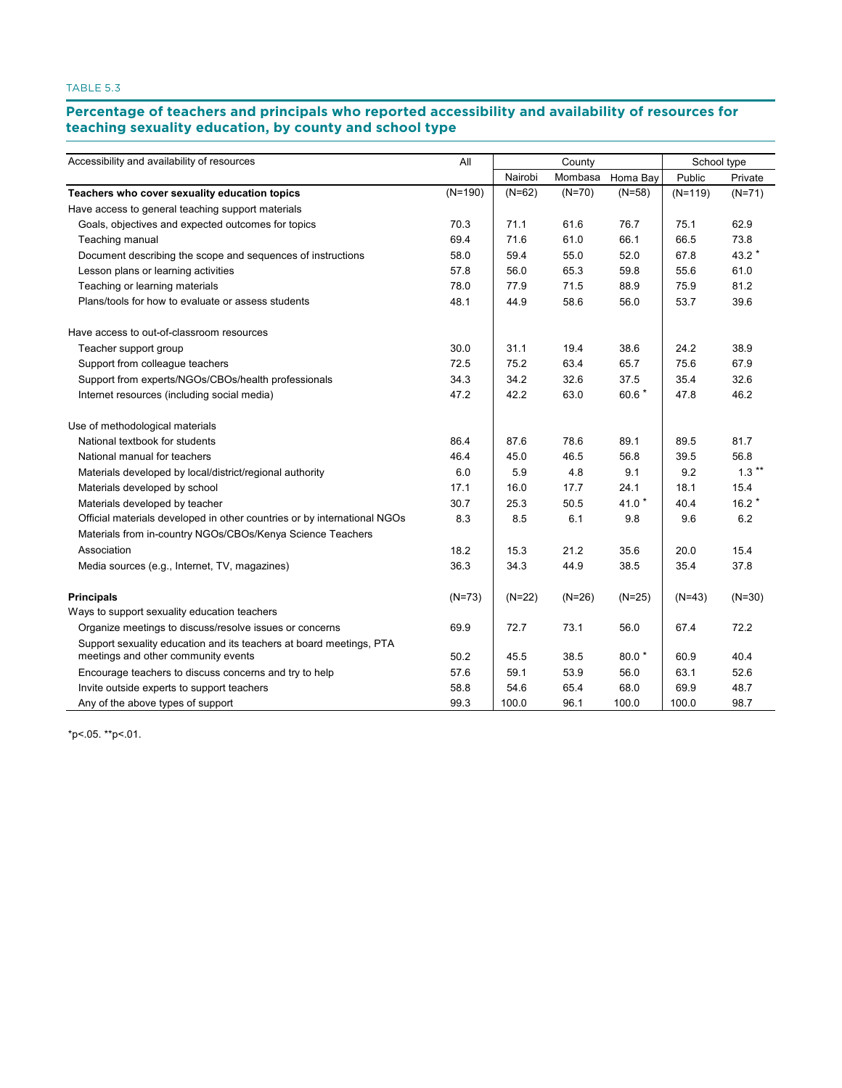### Percentage of teachers and principals who reported accessibility and availability of resources for<br>. **teaching sexuality education, by county and school type county and school type**

| Accessibility and availability of resources                                                                | All       |          | County   |          | School type |          |
|------------------------------------------------------------------------------------------------------------|-----------|----------|----------|----------|-------------|----------|
|                                                                                                            |           | Nairobi  | Mombasa  | Homa Bay | Public      | Private  |
| Teachers who cover sexuality education topics                                                              | $(N=190)$ | $(N=62)$ | $(N=70)$ | $(N=58)$ | $(N=119)$   | $(N=71)$ |
| Have access to general teaching support materials                                                          |           |          |          |          |             |          |
| Goals, objectives and expected outcomes for topics                                                         | 70.3      | 71.1     | 61.6     | 76.7     | 75.1        | 62.9     |
| Teaching manual                                                                                            | 69.4      | 71.6     | 61.0     | 66.1     | 66.5        | 73.8     |
| Document describing the scope and sequences of instructions                                                | 58.0      | 59.4     | 55.0     | 52.0     | 67.8        | 43.2 *   |
| Lesson plans or learning activities                                                                        | 57.8      | 56.0     | 65.3     | 59.8     | 55.6        | 61.0     |
| Teaching or learning materials                                                                             | 78.0      | 77.9     | 71.5     | 88.9     | 75.9        | 81.2     |
| Plans/tools for how to evaluate or assess students                                                         | 48.1      | 44.9     | 58.6     | 56.0     | 53.7        | 39.6     |
| Have access to out-of-classroom resources                                                                  |           |          |          |          |             |          |
| Teacher support group                                                                                      | 30.0      | 31.1     | 19.4     | 38.6     | 24.2        | 38.9     |
| Support from colleague teachers                                                                            | 72.5      | 75.2     | 63.4     | 65.7     | 75.6        | 67.9     |
| Support from experts/NGOs/CBOs/health professionals                                                        | 34.3      | 34.2     | 32.6     | 37.5     | 35.4        | 32.6     |
| Internet resources (including social media)                                                                | 47.2      | 42.2     | 63.0     | 60.6 *   | 47.8        | 46.2     |
| Use of methodological materials                                                                            |           |          |          |          |             |          |
| National textbook for students                                                                             | 86.4      | 87.6     | 78.6     | 89.1     | 89.5        | 81.7     |
| National manual for teachers                                                                               | 46.4      | 45.0     | 46.5     | 56.8     | 39.5        | 56.8     |
| Materials developed by local/district/regional authority                                                   | 6.0       | 5.9      | 4.8      | 9.1      | 9.2         | $1.3***$ |
| Materials developed by school                                                                              | 17.1      | 16.0     | 17.7     | 24.1     | 18.1        | 15.4     |
| Materials developed by teacher                                                                             | 30.7      | 25.3     | 50.5     | 41.0 $*$ | 40.4        | $16.2*$  |
| Official materials developed in other countries or by international NGOs                                   | 8.3       | 8.5      | 6.1      | 9.8      | 9.6         | 6.2      |
| Materials from in-country NGOs/CBOs/Kenya Science Teachers                                                 |           |          |          |          |             |          |
| Association                                                                                                | 18.2      | 15.3     | 21.2     | 35.6     | 20.0        | 15.4     |
| Media sources (e.g., Internet, TV, magazines)                                                              | 36.3      | 34.3     | 44.9     | 38.5     | 35.4        | 37.8     |
| <b>Principals</b>                                                                                          | $(N=73)$  | $(N=22)$ | $(N=26)$ | $(N=25)$ | $(N=43)$    | $(N=30)$ |
| Ways to support sexuality education teachers                                                               |           |          |          |          |             |          |
| Organize meetings to discuss/resolve issues or concerns                                                    | 69.9      | 72.7     | 73.1     | 56.0     | 67.4        | 72.2     |
| Support sexuality education and its teachers at board meetings, PTA<br>meetings and other community events | 50.2      | 45.5     | 38.5     | $80.0*$  | 60.9        | 40.4     |
| Encourage teachers to discuss concerns and try to help                                                     | 57.6      | 59.1     | 53.9     | 56.0     | 63.1        | 52.6     |
| Invite outside experts to support teachers                                                                 | 58.8      | 54.6     | 65.4     | 68.0     | 69.9        | 48.7     |
| Any of the above types of support                                                                          | 99.3      | 100.0    | 96.1     | 100.0    | 100.0       | 98.7     |
|                                                                                                            |           |          |          |          |             |          |

\*p<.05. \*\*p<.01.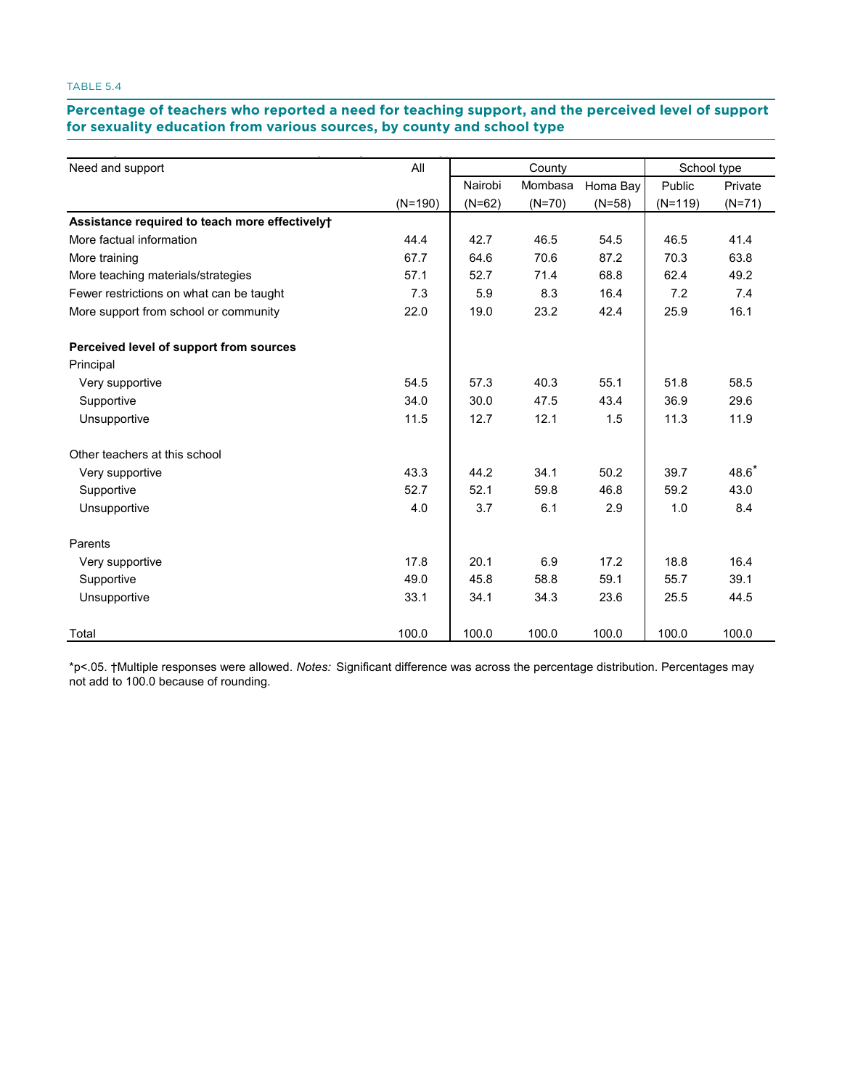# **Percentage of teachers who reported a need for teaching support, and the perceived level of support**  for sexuality education from various sources, by county and school type **the percentage of the percentage of teach**<br>————————————————————

| Need and support                               | All<br>County |          |          | School type |           |          |
|------------------------------------------------|---------------|----------|----------|-------------|-----------|----------|
|                                                |               | Nairobi  | Mombasa  | Homa Bay    | Public    | Private  |
|                                                | $(N=190)$     | $(N=62)$ | $(N=70)$ | $(N=58)$    | $(N=119)$ | $(N=71)$ |
| Assistance required to teach more effectively+ |               |          |          |             |           |          |
| More factual information                       | 44.4          | 42.7     | 46.5     | 54.5        | 46.5      | 41.4     |
| More training                                  | 67.7          | 64.6     | 70.6     | 87.2        | 70.3      | 63.8     |
| More teaching materials/strategies             | 57.1          | 52.7     | 71.4     | 68.8        | 62.4      | 49.2     |
| Fewer restrictions on what can be taught       | 7.3           | 5.9      | 8.3      | 16.4        | 7.2       | 7.4      |
| More support from school or community          | 22.0          | 19.0     | 23.2     | 42.4        | 25.9      | 16.1     |
| Perceived level of support from sources        |               |          |          |             |           |          |
| Principal                                      |               |          |          |             |           |          |
| Very supportive                                | 54.5          | 57.3     | 40.3     | 55.1        | 51.8      | 58.5     |
| Supportive                                     | 34.0          | 30.0     | 47.5     | 43.4        | 36.9      | 29.6     |
| Unsupportive                                   | 11.5          | 12.7     | 12.1     | 1.5         | 11.3      | 11.9     |
| Other teachers at this school                  |               |          |          |             |           |          |
| Very supportive                                | 43.3          | 44.2     | 34.1     | 50.2        | 39.7      | $48.6*$  |
| Supportive                                     | 52.7          | 52.1     | 59.8     | 46.8        | 59.2      | 43.0     |
| Unsupportive                                   | 4.0           | 3.7      | 6.1      | 2.9         | 1.0       | 8.4      |
| Parents                                        |               |          |          |             |           |          |
| Very supportive                                | 17.8          | 20.1     | 6.9      | 17.2        | 18.8      | 16.4     |
| Supportive                                     | 49.0          | 45.8     | 58.8     | 59.1        | 55.7      | 39.1     |
| Unsupportive                                   | 33.1          | 34.1     | 34.3     | 23.6        | 25.5      | 44.5     |
| Total                                          | 100.0         | 100.0    | 100.0    | 100.0       | 100.0     | 100.0    |

\*p<.05. †Multiple responses were allowed. *Notes:* Significant difference was across the percentage distribution. Percentages may not add to 100.0 because of rounding.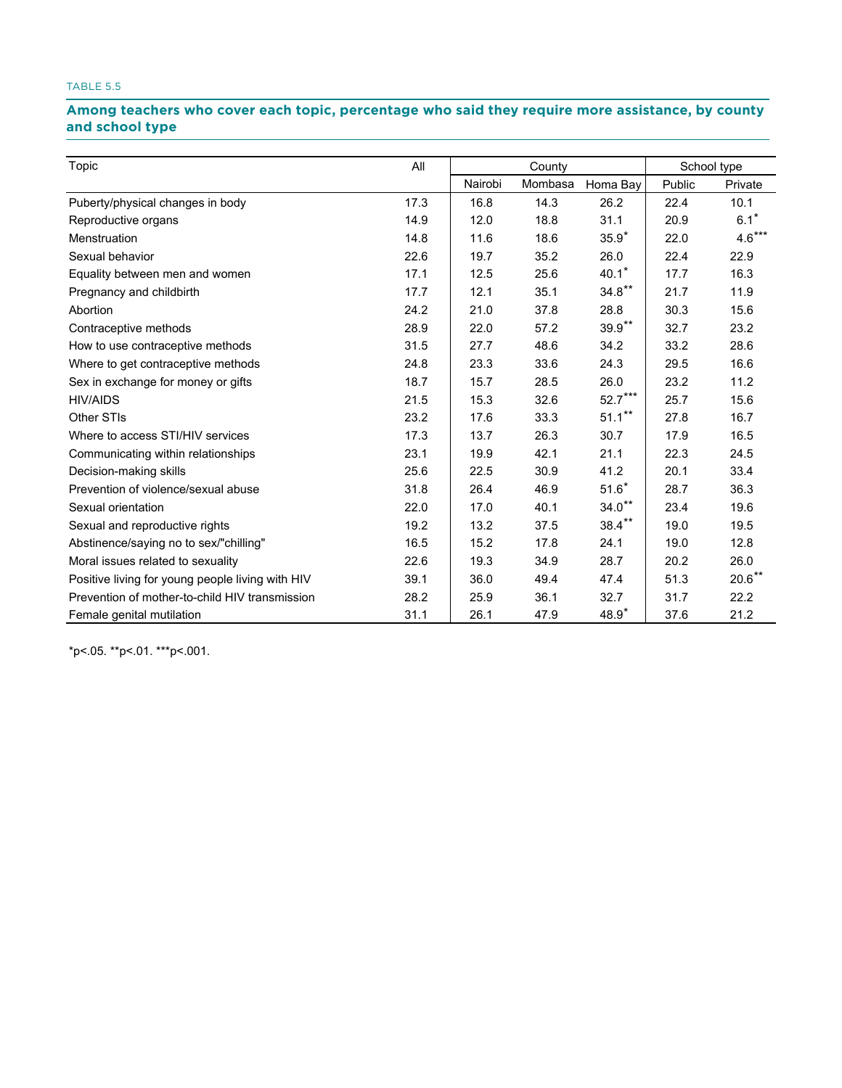## Among teachers who cover each topic, percentage who said they require more assistance, by county **and school type school type**

| Topic                                            | All  | County  |         |           | School type |          |
|--------------------------------------------------|------|---------|---------|-----------|-------------|----------|
|                                                  |      | Nairobi | Mombasa | Homa Bay  | Public      | Private  |
| Puberty/physical changes in body                 | 17.3 | 16.8    | 14.3    | 26.2      | 22.4        | 10.1     |
| Reproductive organs                              | 14.9 | 12.0    | 18.8    | 31.1      | 20.9        | $6.1*$   |
| Menstruation                                     | 14.8 | 11.6    | 18.6    | $35.9*$   | 22.0        | $4.6***$ |
| Sexual behavior                                  | 22.6 | 19.7    | 35.2    | 26.0      | 22.4        | 22.9     |
| Equality between men and women                   | 17.1 | 12.5    | 25.6    | $40.1*$   | 17.7        | 16.3     |
| Pregnancy and childbirth                         | 17.7 | 12.1    | 35.1    | $34.8**$  | 21.7        | 11.9     |
| Abortion                                         | 24.2 | 21.0    | 37.8    | 28.8      | 30.3        | 15.6     |
| Contraceptive methods                            | 28.9 | 22.0    | 57.2    | $39.9**$  | 32.7        | 23.2     |
| How to use contraceptive methods                 | 31.5 | 27.7    | 48.6    | 34.2      | 33.2        | 28.6     |
| Where to get contraceptive methods               | 24.8 | 23.3    | 33.6    | 24.3      | 29.5        | 16.6     |
| Sex in exchange for money or gifts               | 18.7 | 15.7    | 28.5    | 26.0      | 23.2        | 11.2     |
| <b>HIV/AIDS</b>                                  | 21.5 | 15.3    | 32.6    | $52.7***$ | 25.7        | 15.6     |
| Other STIs                                       | 23.2 | 17.6    | 33.3    | $51.1***$ | 27.8        | 16.7     |
| Where to access STI/HIV services                 | 17.3 | 13.7    | 26.3    | 30.7      | 17.9        | 16.5     |
| Communicating within relationships               | 23.1 | 19.9    | 42.1    | 21.1      | 22.3        | 24.5     |
| Decision-making skills                           | 25.6 | 22.5    | 30.9    | 41.2      | 20.1        | 33.4     |
| Prevention of violence/sexual abuse              | 31.8 | 26.4    | 46.9    | $51.6*$   | 28.7        | 36.3     |
| Sexual orientation                               | 22.0 | 17.0    | 40.1    | $34.0**$  | 23.4        | 19.6     |
| Sexual and reproductive rights                   | 19.2 | 13.2    | 37.5    | $38.4***$ | 19.0        | 19.5     |
| Abstinence/saying no to sex/"chilling"           | 16.5 | 15.2    | 17.8    | 24.1      | 19.0        | 12.8     |
| Moral issues related to sexuality                | 22.6 | 19.3    | 34.9    | 28.7      | 20.2        | 26.0     |
| Positive living for young people living with HIV | 39.1 | 36.0    | 49.4    | 47.4      | 51.3        | $20.6**$ |
| Prevention of mother-to-child HIV transmission   | 28.2 | 25.9    | 36.1    | 32.7      | 31.7        | 22.2     |
| Female genital mutilation                        | 31.1 | 26.1    | 47.9    | $48.9*$   | 37.6        | 21.2     |

\*p<.05. \*\*p<.01. \*\*\*p<.001.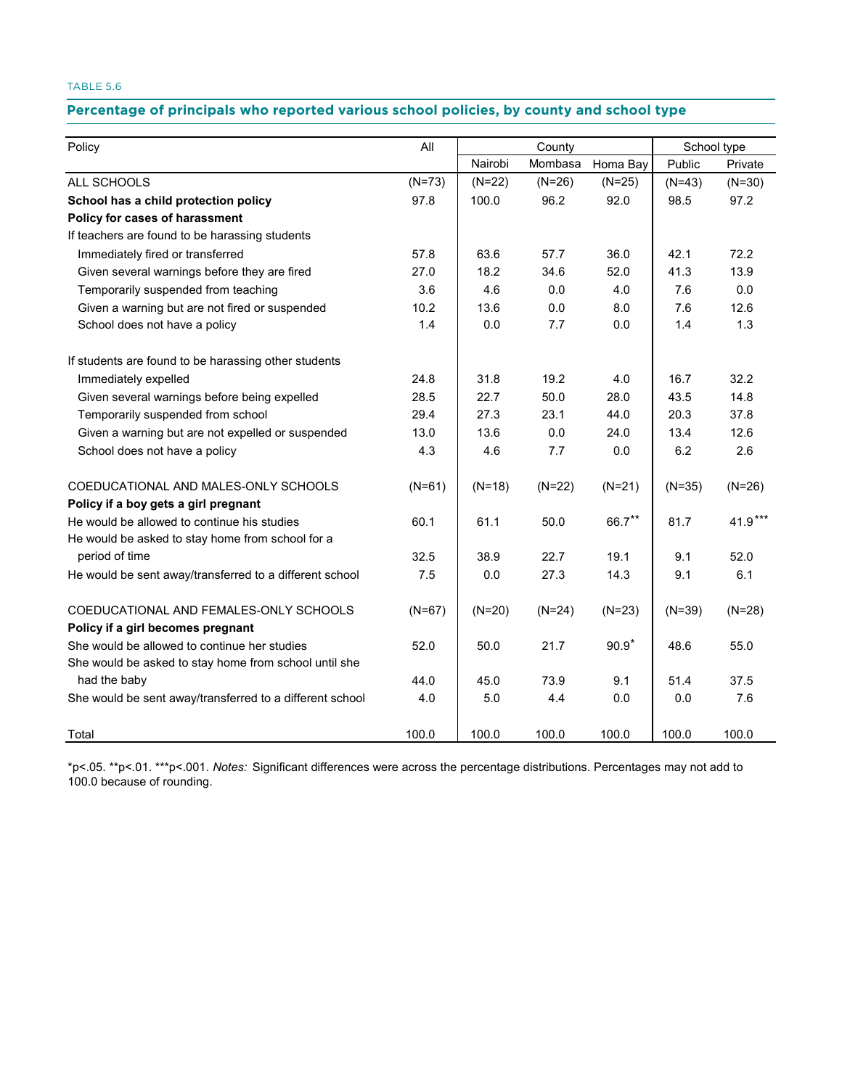### Percentage of principals who reported various school policies, by county and school type

| Policy                                                   | All      | County   |          |          | School type |           |
|----------------------------------------------------------|----------|----------|----------|----------|-------------|-----------|
|                                                          |          | Nairobi  | Mombasa  | Homa Bay | Public      | Private   |
| ALL SCHOOLS                                              | $(N=73)$ | $(N=22)$ | $(N=26)$ | $(N=25)$ | $(N=43)$    | $(N=30)$  |
| School has a child protection policy                     | 97.8     | 100.0    | 96.2     | 92.0     | 98.5        | 97.2      |
| Policy for cases of harassment                           |          |          |          |          |             |           |
| If teachers are found to be harassing students           |          |          |          |          |             |           |
| Immediately fired or transferred                         | 57.8     | 63.6     | 57.7     | 36.0     | 42.1        | 72.2      |
| Given several warnings before they are fired             | 27.0     | 18.2     | 34.6     | 52.0     | 41.3        | 13.9      |
| Temporarily suspended from teaching                      | 3.6      | 4.6      | 0.0      | 4.0      | 7.6         | 0.0       |
| Given a warning but are not fired or suspended           | 10.2     | 13.6     | 0.0      | 8.0      | 7.6         | 12.6      |
| School does not have a policy                            | 1.4      | 0.0      | 7.7      | 0.0      | 1.4         | 1.3       |
| If students are found to be harassing other students     |          |          |          |          |             |           |
| Immediately expelled                                     | 24.8     | 31.8     | 19.2     | 4.0      | 16.7        | 32.2      |
| Given several warnings before being expelled             | 28.5     | 22.7     | 50.0     | 28.0     | 43.5        | 14.8      |
| Temporarily suspended from school                        | 29.4     | 27.3     | 23.1     | 44.0     | 20.3        | 37.8      |
| Given a warning but are not expelled or suspended        | 13.0     | 13.6     | 0.0      | 24.0     | 13.4        | 12.6      |
| School does not have a policy                            | 4.3      | 4.6      | 7.7      | 0.0      | 6.2         | 2.6       |
| COEDUCATIONAL AND MALES-ONLY SCHOOLS                     | $(N=61)$ | $(N=18)$ | $(N=22)$ | $(N=21)$ | $(N=35)$    | $(N=26)$  |
| Policy if a boy gets a girl pregnant                     |          |          |          |          |             |           |
| He would be allowed to continue his studies              | 60.1     | 61.1     | 50.0     | 66.7**   | 81.7        | $41.9***$ |
| He would be asked to stay home from school for a         |          |          |          |          |             |           |
| period of time                                           | 32.5     | 38.9     | 22.7     | 19.1     | 9.1         | 52.0      |
| He would be sent away/transferred to a different school  | 7.5      | 0.0      | 27.3     | 14.3     | 9.1         | 6.1       |
| COEDUCATIONAL AND FEMALES-ONLY SCHOOLS                   | $(N=67)$ | $(N=20)$ | $(N=24)$ | $(N=23)$ | $(N=39)$    | $(N=28)$  |
| Policy if a girl becomes pregnant                        |          |          |          |          |             |           |
| She would be allowed to continue her studies             | 52.0     | 50.0     | 21.7     | $90.9*$  | 48.6        | 55.0      |
| She would be asked to stay home from school until she    |          |          |          |          |             |           |
| had the baby                                             | 44.0     | 45.0     | 73.9     | 9.1      | 51.4        | 37.5      |
| She would be sent away/transferred to a different school | 4.0      | 5.0      | 4.4      | 0.0      | 0.0         | 7.6       |
| Total                                                    | 100.0    | 100.0    | 100.0    | 100.0    | 100.0       | 100.0     |

\*p<.05. \*\*p<.01. \*\*\*p<.001. *Notes:* Significant differences were across the percentage distributions. Percentages may not add to 100.0 because of rounding.